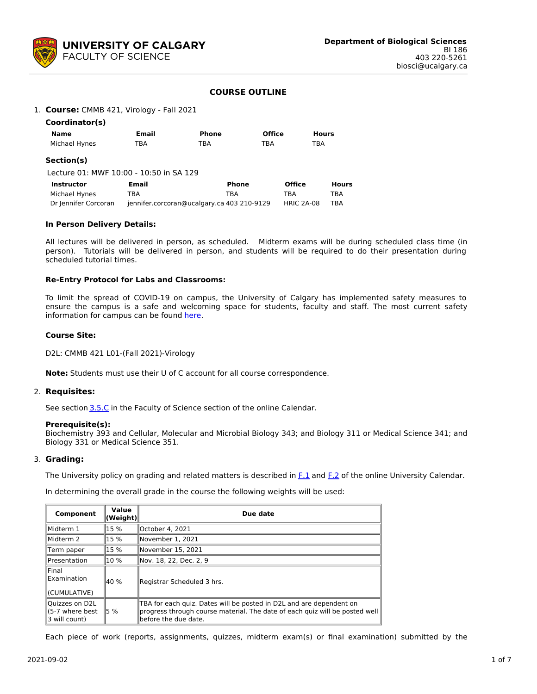

# **COURSE OUTLINE**

## 1. **Course:** CMMB 421, Virology - Fall 2021

| Coordinator(s) |       |       |               |              |  |
|----------------|-------|-------|---------------|--------------|--|
| Name           | Email | Phone | <b>Office</b> | <b>Hours</b> |  |
| Michael Hynes  | TBA   | TBA   | TBA           | TBA          |  |

### **Section(s)**

Lecture 01: MWF 10:00 - 10:50 in SA 129

| Instructor           | <b>Email</b>                               | Phone | <b>Office</b> | <b>Hours</b> |
|----------------------|--------------------------------------------|-------|---------------|--------------|
| Michael Hynes        | TBA                                        | TBA   | TBA           | TBA          |
| Dr Jennifer Corcoran | jennifer.corcoran@ucalgary.ca 403 210-9129 |       | HRIC 2A-08    | TRA          |

## **In Person Delivery Details:**

All lectures will be delivered in person, as scheduled. Midterm exams will be during scheduled class time (in person). Tutorials will be delivered in person, and students will be required to do their presentation during scheduled tutorial times.

## **Re-Entry Protocol for Labs and Classrooms:**

To limit the spread of COVID-19 on campus, the University of Calgary has implemented safety measures to ensure the campus is a safe and welcoming space for students, faculty and staff. The most current safety information for campus can be found [here](https://www.ucalgary.ca/risk/emergency-management/covid-19-response/return-campus-safety).

### **Course Site:**

D2L: CMMB 421 L01-(Fall 2021)-Virology

**Note:** Students must use their U of C account for all course correspondence.

### 2. **Requisites:**

See section [3.5.C](http://www.ucalgary.ca/pubs/calendar/current/sc-3-5.html) in the Faculty of Science section of the online Calendar.

### **Prerequisite(s):**

Biochemistry 393 and Cellular, Molecular and Microbial Biology 343; and Biology 311 or Medical Science 341; and Biology 331 or Medical Science 351.

### 3. **Grading:**

The University policy on grading and related matters is described in [F.1](http://www.ucalgary.ca/pubs/calendar/current/f-1.html) and [F.2](http://www.ucalgary.ca/pubs/calendar/current/f-2.html) of the online University Calendar.

In determining the overall grade in the course the following weights will be used:

| Component                                                | Value<br>(Weight) | Due date                                                                                                                                                                   |  |  |  |  |
|----------------------------------------------------------|-------------------|----------------------------------------------------------------------------------------------------------------------------------------------------------------------------|--|--|--|--|
| Midterm 1                                                | 15 %              | lOctober 4. 2021                                                                                                                                                           |  |  |  |  |
| Midterm 2                                                | 15 %              | November 1, 2021                                                                                                                                                           |  |  |  |  |
| Term paper                                               | 15 %              | November 15, 2021                                                                                                                                                          |  |  |  |  |
| Presentation                                             | 10 %              | Nov. 18, 22, Dec. 2, 9                                                                                                                                                     |  |  |  |  |
| $\mathsf{IFinal}$<br><b>IExamination</b><br>(CUMULATIVE) | 40 %              | Registrar Scheduled 3 hrs.                                                                                                                                                 |  |  |  |  |
| Quizzes on D2L<br>ll(5-7 where best<br>3 will count)     | 15 %              | TBA for each quiz. Dates will be posted in D2L and are dependent on<br>progress through course material. The date of each quiz will be posted well<br>before the due date. |  |  |  |  |

Each piece of work (reports, assignments, quizzes, midterm exam(s) or final examination) submitted by the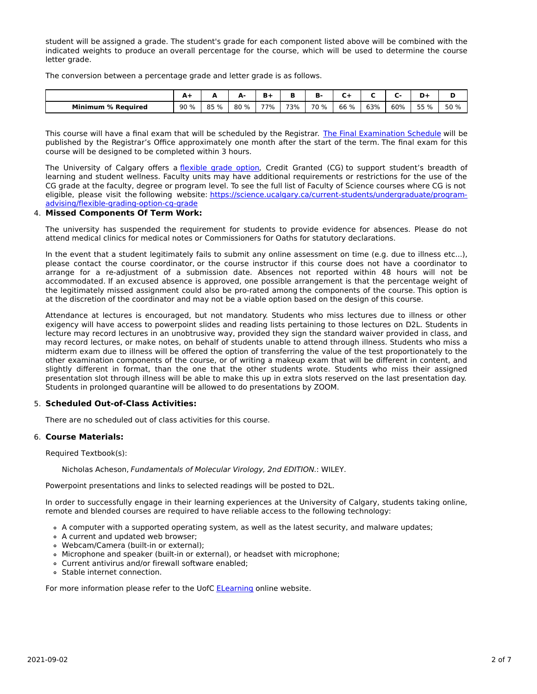student will be assigned a grade. The student's grade for each component listed above will be combined with the indicated weights to produce an overall percentage for the course, which will be used to determine the course letter grade.

The conversion between a percentage grade and letter grade is as follows.

|                         | $A+$ | -    | А-   | ъ.  |     | D.   | -    |     |     |      |      |
|-------------------------|------|------|------|-----|-----|------|------|-----|-----|------|------|
| Minimum<br>। % Reauired | 90%  | 85 % | 80 % | 77% | 73% | 70 % | 66 % | 63% | 60% | 55 % | 50 % |

This course will have a final exam that will be scheduled by the Registrar. The Final [Examination](https://www.ucalgary.ca/registrar/exams) Schedule will be published by the Registrar's Office approximately one month after the start of the term. The final exam for this course will be designed to be completed within 3 hours.

The University of Calgary offers a [flexible](https://www.ucalgary.ca/pubs/calendar/current/f-1-3.html) grade option, Credit Granted (CG) to support student's breadth of learning and student wellness. Faculty units may have additional requirements or restrictions for the use of the CG grade at the faculty, degree or program level. To see the full list of Faculty of Science courses where CG is not eligible, please visit the following website: [https://science.ucalgary.ca/current-students/undergraduate/program](https://science.ucalgary.ca/current-students/undergraduate/program-advising/flexible-grading-option-cg-grade)advising/flexible-grading-option-cg-grade

## 4. **Missed Components Of Term Work:**

The university has suspended the requirement for students to provide evidence for absences. Please do not attend medical clinics for medical notes or Commissioners for Oaths for statutory declarations.

In the event that a student legitimately fails to submit any online assessment on time (e.g. due to illness etc...), please contact the course coordinator, or the course instructor if this course does not have a coordinator to arrange for a re-adjustment of a submission date. Absences not reported within 48 hours will not be accommodated. If an excused absence is approved, one possible arrangement is that the percentage weight of the legitimately missed assignment could also be pro-rated among the components of the course. This option is at the discretion of the coordinator and may not be a viable option based on the design of this course.

Attendance at lectures is encouraged, but not mandatory. Students who miss lectures due to illness or other exigency will have access to powerpoint slides and reading lists pertaining to those lectures on D2L. Students in lecture may record lectures in an unobtrusive way, provided they sign the standard waiver provided in class, and may record lectures, or make notes, on behalf of students unable to attend through illness. Students who miss a midterm exam due to illness will be offered the option of transferring the value of the test proportionately to the other examination components of the course, or of writing a makeup exam that will be different in content, and slightly different in format, than the one that the other students wrote. Students who miss their assigned presentation slot through illness will be able to make this up in extra slots reserved on the last presentation day. Students in prolonged quarantine will be allowed to do presentations by ZOOM.

## 5. **Scheduled Out-of-Class Activities:**

There are no scheduled out of class activities for this course.

### 6. **Course Materials:**

Required Textbook(s):

Nicholas Acheson, Fundamentals of Molecular Virology, 2nd EDITION.: WILEY.

Powerpoint presentations and links to selected readings will be posted to D2L.

In order to successfully engage in their learning experiences at the University of Calgary, students taking online, remote and blended courses are required to have reliable access to the following technology:

- A computer with a supported operating system, as well as the latest security, and malware updates;
- A current and updated web browser;
- Webcam/Camera (built-in or external);
- Microphone and speaker (built-in or external), or headset with microphone;
- Current antivirus and/or firewall software enabled;
- Stable internet connection.

For more information please refer to the UofC [ELearning](https://elearn.ucalgary.ca/technology-requirements-for-students) online website.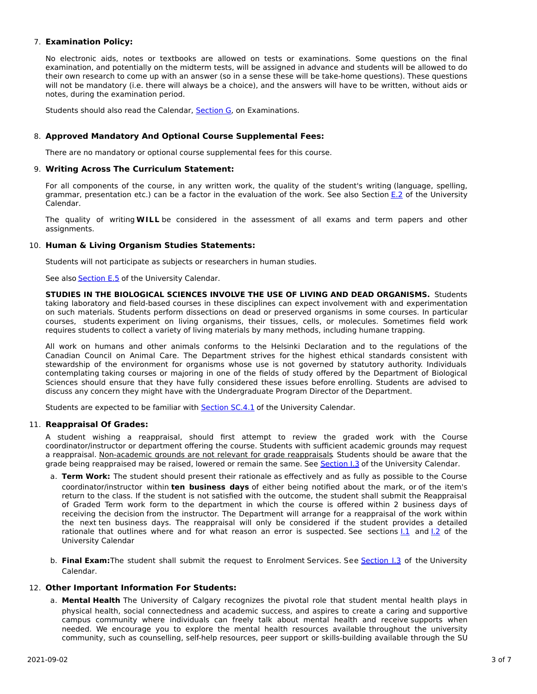## 7. **Examination Policy:**

No electronic aids, notes or textbooks are allowed on tests or examinations. Some questions on the final examination, and potentially on the midterm tests, will be assigned in advance and students will be allowed to do their own research to come up with an answer (so in a sense these will be take-home questions). These questions will not be mandatory (i.e. there will always be a choice), and the answers will have to be written, without aids or notes, during the examination period.

Students should also read the Calendar, **[Section](http://www.ucalgary.ca/pubs/calendar/current/g.html) G**, on Examinations.

## 8. **Approved Mandatory And Optional Course Supplemental Fees:**

There are no mandatory or optional course supplemental fees for this course.

### 9. **Writing Across The Curriculum Statement:**

For all components of the course, in any written work, the quality of the student's writing (language, spelling, grammar, presentation etc.) can be a factor in the evaluation of the work. See also Section [E.2](http://www.ucalgary.ca/pubs/calendar/current/e-2.html) of the University Calendar.

The quality of writing **WILL** be considered in the assessment of all exams and term papers and other assignments.

## 10. **Human & Living Organism Studies Statements:**

Students will not participate as subjects or researchers in human studies.

See also [Section](http://www.ucalgary.ca/pubs/calendar/current/e-5.html) E.5 of the University Calendar.

**STUDIES IN THE BIOLOGICAL SCIENCES INVOLVE THE USE OF LIVING AND DEAD ORGANISMS.** Students taking laboratory and field-based courses in these disciplines can expect involvement with and experimentation on such materials. Students perform dissections on dead or preserved organisms in some courses. In particular courses, students experiment on living organisms, their tissues, cells, or molecules. Sometimes field work requires students to collect a variety of living materials by many methods, including humane trapping.

All work on humans and other animals conforms to the Helsinki Declaration and to the regulations of the Canadian Council on Animal Care. The Department strives for the highest ethical standards consistent with stewardship of the environment for organisms whose use is not governed by statutory authority. Individuals contemplating taking courses or majoring in one of the fields of study offered by the Department of Biological Sciences should ensure that they have fully considered these issues before enrolling. Students are advised to discuss any concern they might have with the Undergraduate Program Director of the Department.

Students are expected to be familiar with **[Section](http://www.ucalgary.ca/pubs/calendar/current/sc-4-1.html) SC.4.1** of the University Calendar.

## 11. **Reappraisal Of Grades:**

A student wishing a reappraisal, should first attempt to review the graded work with the Course coordinator/instructor or department offering the course. Students with sufficient academic grounds may request a reappraisal. Non-academic grounds are not relevant for grade reappraisals. Students should be aware that the grade being reappraised may be raised, lowered or remain the same. See [Section](http://www.ucalgary.ca/pubs/calendar/current/i-3.html) I.3 of the University Calendar.

- a. **Term Work:** The student should present their rationale as effectively and as fully as possible to the Course coordinator/instructor within **ten business days** of either being notified about the mark, or of the item's return to the class. If the student is not satisfied with the outcome, the student shall submit the Reappraisal of Graded Term work form to the department in which the course is offered within 2 business days of receiving the decision from the instructor. The Department will arrange for a reappraisal of the work within the next ten business days. The reappraisal will only be considered if the student provides a detailed rationale that outlines where and for what reason an error is suspected. See sections 1.1 and 1.2 of the University Calendar
- b. **Final Exam:**The student shall submit the request to Enrolment Services. See [Section](http://www.ucalgary.ca/pubs/calendar/current/i-3.html) I.3 of the University Calendar.

## 12. **Other Important Information For Students:**

a. **Mental Health** The University of Calgary recognizes the pivotal role that student mental health plays in physical health, social connectedness and academic success, and aspires to create a caring and supportive campus community where individuals can freely talk about mental health and receive supports when needed. We encourage you to explore the mental health resources available throughout the university community, such as counselling, self-help resources, peer support or skills-building available through the SU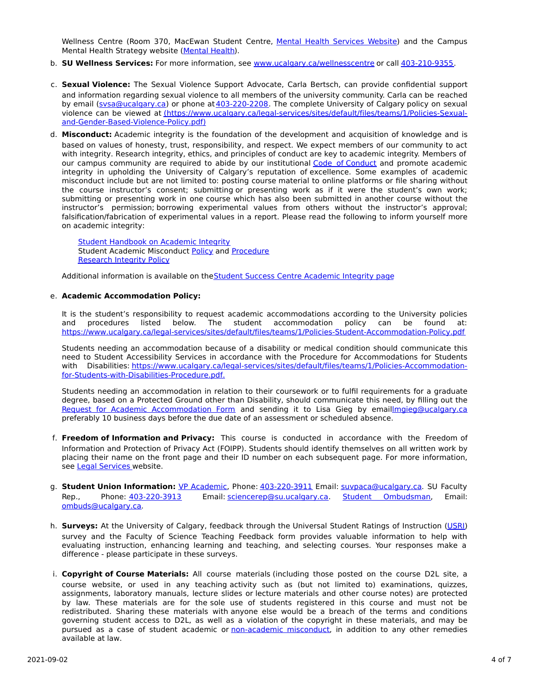Wellness Centre (Room 370, MacEwan Student Centre, Mental Health [Services](https://www.ucalgary.ca/wellnesscentre/services/mental-health-services) Website) and the Campus Mental Health Strategy website [\(Mental](http://www.ucalgary.ca/mentalhealth) Health).

- b. **SU Wellness Services:** For more information, see [www.ucalgary.ca/wellnesscentre](http://www.ucalgary.ca/wellnesscentre) or call [403-210-9355.](tel:4032109355)
- c. **Sexual Violence:** The Sexual Violence Support Advocate, Carla Bertsch, can provide confidential support and information regarding sexual violence to all members of the university community. Carla can be reached by email [\(svsa@ucalgary.ca](mailto:svsa@ucalgary.ca)) or phone at [403-220-2208](tel:4032202208). The complete University of Calgary policy on sexual violence can be viewed at [\(https://www.ucalgary.ca/legal-services/sites/default/files/teams/1/Policies-Sexual](https://www.ucalgary.ca/legal-services/sites/default/files/teams/1/Policies-Sexual-and-Gender-Based-Violence-Policy.pdf)and-Gender-Based-Violence-Policy.pdf)
- d. **Misconduct:** Academic integrity is the foundation of the development and acquisition of knowledge and is based on values of honesty, trust, responsibility, and respect. We expect members of our community to act with integrity. Research integrity, ethics, and principles of conduct are key to academic integrity. Members of our campus community are required to abide by our institutional Code of [Conduct](https://www.ucalgary.ca/legal-services/sites/default/files/teams/1/Policies-Code-of-Conduct.pdf) and promote academic integrity in upholding the University of Calgary's reputation of excellence. Some examples of academic misconduct include but are not limited to: posting course material to online platforms or file sharing without the course instructor's consent; submitting or presenting work as if it were the student's own work; submitting or presenting work in one course which has also been submitted in another course without the instructor's permission; borrowing experimental values from others without the instructor's approval; falsification/fabrication of experimental values in a report. Please read the following to inform yourself more on academic integrity:

Student [Handbook](https://www.ucalgary.ca/live-uc-ucalgary-site/sites/default/files/teams/9/AI-Student-handbook-1.pdf) on Academic Integrity Student Academic Misconduct [Policy](https://www.ucalgary.ca/legal-services/sites/default/files/teams/1/Policies-Student-Academic-Misconduct-Policy.pdf) and [Procedure](https://www.ucalgary.ca/legal-services/sites/default/files/teams/1/Policies-Student-Academic-Misconduct-Procedure.pdf) [Research](https://www.ucalgary.ca/legal-services/sites/default/files/teams/1/Policies-Research-Integrity-Policy.pdf) Integrity Policy

Additional information is available on theStudent Success Centre [Academic](https://ucalgary.ca/student-services/student-success/learning/academic-integrity) Integrity page

### e. **Academic Accommodation Policy:**

It is the student's responsibility to request academic accommodations according to the University policies and procedures listed below. The student accommodation policy can be found at: <https://www.ucalgary.ca/legal-services/sites/default/files/teams/1/Policies-Student-Accommodation-Policy.pdf>

Students needing an accommodation because of a disability or medical condition should communicate this need to Student Accessibility Services in accordance with the Procedure for Accommodations for Students with Disabilities: [https://www.ucalgary.ca/legal-services/sites/default/files/teams/1/Policies-Accommodation](https://www.ucalgary.ca/legal-services/sites/default/files/teams/1/Policies-Accommodation-for-Students-with-Disabilities-Procedure.pdf)for-Students-with-Disabilities-Procedure.pdf.

Students needing an accommodation in relation to their coursework or to fulfil requirements for a graduate degree, based on a Protected Ground other than Disability, should communicate this need, by filling out the Request for Academic [Accommodation](https://science.ucalgary.ca/sites/default/files/teams/1/request-accommodation-academic-courses.pdf) Form and sending it to Lisa Gieg by emai[llmgieg@ucalgary.ca](mailto:lmgieg@ucalgary.ca) preferably 10 business days before the due date of an assessment or scheduled absence.

- f. **Freedom of Information and Privacy:** This course is conducted in accordance with the Freedom of Information and Protection of Privacy Act (FOIPP). Students should identify themselves on all written work by placing their name on the front page and their ID number on each subsequent page. For more information, see Legal [Services](https://www.ucalgary.ca/legal-services/access-information-privacy) website.
- g. **Student Union Information:** VP [Academic](http://www.su.ucalgary.ca/contact), Phone: [403-220-3911](tel:4032203911) Email: [suvpaca@ucalgary.ca](mailto:suvpaca@ucalgary.ca). SU Faculty Rep., Phone: [403-220-3913](tel:4032203913) Email: [sciencerep@su.ucalgary.ca](mailto:sciencerep@su.ucalgary.ca). Student [Ombudsman](https://www.ucalgary.ca/ombuds/), Email: [ombuds@ucalgary.ca](mailto:%20ombuds@ucalgary.ca).
- h. **Surveys:** At the University of Calgary, feedback through the Universal Student Ratings of Instruction [\(USRI](http://www.ucalgary.ca/usri)) survey and the Faculty of Science Teaching Feedback form provides valuable information to help with evaluating instruction, enhancing learning and teaching, and selecting courses. Your responses make a difference - please participate in these surveys.
- i. **Copyright of Course Materials:** All course materials (including those posted on the course D2L site, a course website, or used in any teaching activity such as (but not limited to) examinations, quizzes, assignments, laboratory manuals, lecture slides or lecture materials and other course notes) are protected by law. These materials are for the sole use of students registered in this course and must not be redistributed. Sharing these materials with anyone else would be a breach of the terms and conditions governing student access to D2L, as well as a violation of the copyright in these materials, and may be pursued as a case of student academic or [non-academic](https://www.ucalgary.ca/conduct/policy/non-academic-misconduct-policy) misconduct, in addition to any other remedies available at law.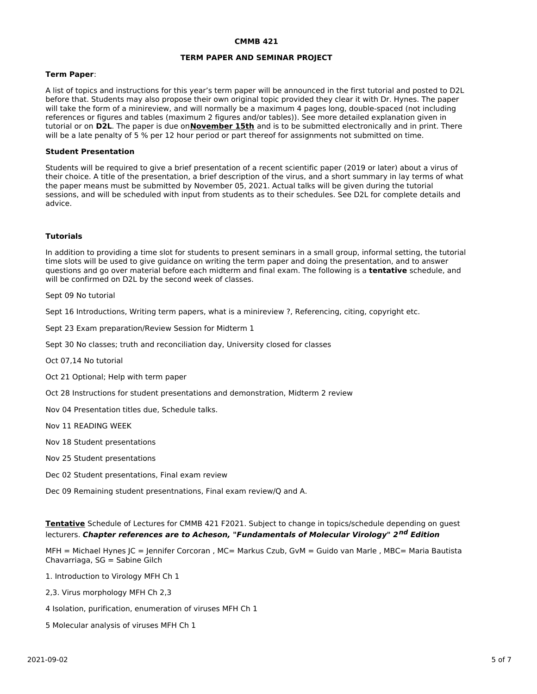#### **CMMB 421**

### **TERM PAPER AND SEMINAR PROJECT**

### **Term Paper**:

A list of topics and instructions for this year's term paper will be announced in the first tutorial and posted to D2L before that. Students may also propose their own original topic provided they clear it with Dr. Hynes. The paper will take the form of a minireview, and will normally be a maximum 4 pages long, double-spaced (not including references or figures and tables (maximum 2 figures and/or tables)). See more detailed explanation given in tutorial or on **D2L**. The paper is due on**November 15th** and is to be submitted electronically and in print. There will be a late penalty of 5 % per 12 hour period or part thereof for assignments not submitted on time.

### **Student Presentation**

Students will be required to give a brief presentation of a recent scientific paper (2019 or later) about a virus of their choice. A title of the presentation, a brief description of the virus, and a short summary in lay terms of what the paper means must be submitted by November 05, 2021. Actual talks will be given during the tutorial sessions, and will be scheduled with input from students as to their schedules. See D2L for complete details and advice.

### **Tutorials**

In addition to providing a time slot for students to present seminars in a small group, informal setting, the tutorial time slots will be used to give guidance on writing the term paper and doing the presentation, and to answer questions and go over material before each midterm and final exam. The following is a **tentative** schedule, and will be confirmed on D2L by the second week of classes.

Sept 09 No tutorial

Sept 16 Introductions, Writing term papers, what is a minireview ?, Referencing, citing, copyright etc.

Sept 23 Exam preparation/Review Session for Midterm 1

Sept 30 No classes; truth and reconciliation day, University closed for classes

Oct 07,14 No tutorial

Oct 21 Optional; Help with term paper

Oct 28 Instructions for student presentations and demonstration, Midterm 2 review

Nov 04 Presentation titles due, Schedule talks.

Nov 11 READING WEEK

Nov 18 Student presentations

Nov 25 Student presentations

Dec 02 Student presentations, Final exam review

Dec 09 Remaining student presentnations, Final exam review/Q and A.

**Tentative** Schedule of Lectures for CMMB 421 F2021. Subject to change in topics/schedule depending on guest lecturers. **Chapter references are to Acheson, "Fundamentals of Molecular Virology" 2 nd Edition**

MFH = Michael Hynes JC = Jennifer Corcoran , MC= Markus Czub, GvM = Guido van Marle , MBC= Maria Bautista Chavarriaga, SG = Sabine Gilch

1. Introduction to Virology MFH Ch 1

2,3. Virus morphology MFH Ch 2,3

4 Isolation, purification, enumeration of viruses MFH Ch 1

5 Molecular analysis of viruses MFH Ch 1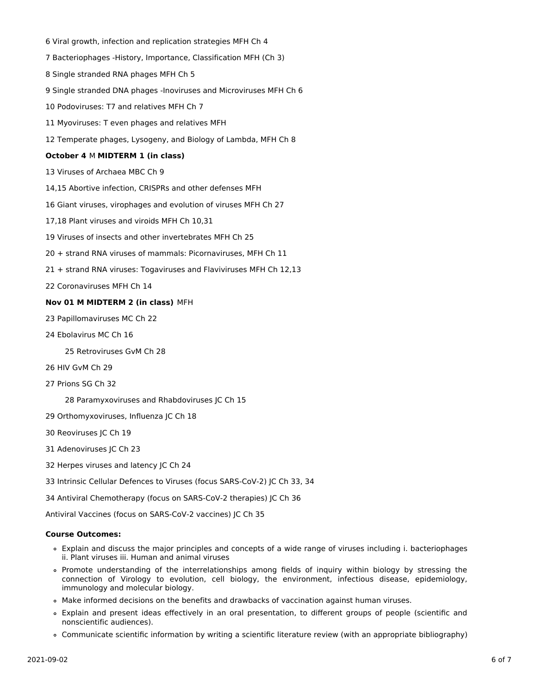Viral growth, infection and replication strategies MFH Ch 4 Bacteriophages -History, Importance, Classification MFH (Ch 3) Single stranded RNA phages MFH Ch 5 Single stranded DNA phages -Inoviruses and Microviruses MFH Ch 6 Podoviruses: T7 and relatives MFH Ch 7 Myoviruses: T even phages and relatives MFH Temperate phages, Lysogeny, and Biology of Lambda, MFH Ch 8 **October 4** M **MIDTERM 1 (in class)** Viruses of Archaea MBC Ch 9 14,15 Abortive infection, CRISPRs and other defenses MFH Giant viruses, virophages and evolution of viruses MFH Ch 27 17,18 Plant viruses and viroids MFH Ch 10,31 Viruses of insects and other invertebrates MFH Ch 25 + strand RNA viruses of mammals: Picornaviruses, MFH Ch 11 + strand RNA viruses: Togaviruses and Flaviviruses MFH Ch 12,13

Coronaviruses MFH Ch 14

## **Nov 01 M MIDTERM 2 (in class)** MFH

- Papillomaviruses MC Ch 22
- Ebolavirus MC Ch 16

Retroviruses GvM Ch 28

- HIV GvM Ch 29
- Prions SG Ch 32

Paramyxoviruses and Rhabdoviruses JC Ch 15

- Orthomyxoviruses, Influenza JC Ch 18
- Reoviruses JC Ch 19
- Adenoviruses JC Ch 23
- Herpes viruses and latency JC Ch 24

Intrinsic Cellular Defences to Viruses (focus SARS-CoV-2) JC Ch 33, 34

Antiviral Chemotherapy (focus on SARS-CoV-2 therapies) JC Ch 36

Antiviral Vaccines (focus on SARS-CoV-2 vaccines) JC Ch 35

### **Course Outcomes:**

- Explain and discuss the major principles and concepts of a wide range of viruses including i. bacteriophages ii. Plant viruses iii. Human and animal viruses
- Promote understanding of the interrelationships among fields of inquiry within biology by stressing the connection of Virology to evolution, cell biology, the environment, infectious disease, epidemiology, immunology and molecular biology.
- Make informed decisions on the benefits and drawbacks of vaccination against human viruses.
- Explain and present ideas effectively in an oral presentation, to different groups of people (scientific and nonscientific audiences).
- Communicate scientific information by writing a scientific literature review (with an appropriate bibliography)